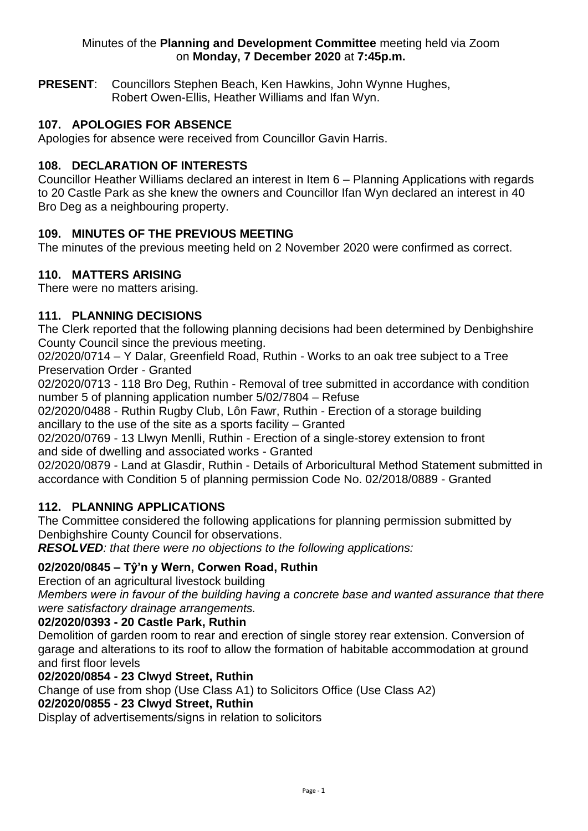### Minutes of the **Planning and Development Committee** meeting held via Zoom on **Monday, 7 December 2020** at **7:45p.m.**

**PRESENT**: Councillors Stephen Beach, Ken Hawkins, John Wynne Hughes, Robert Owen-Ellis, Heather Williams and Ifan Wyn.

# **107. APOLOGIES FOR ABSENCE**

Apologies for absence were received from Councillor Gavin Harris.

### **108. DECLARATION OF INTERESTS**

Councillor Heather Williams declared an interest in Item 6 – Planning Applications with regards to 20 Castle Park as she knew the owners and Councillor Ifan Wyn declared an interest in 40 Bro Deg as a neighbouring property.

## **109. MINUTES OF THE PREVIOUS MEETING**

The minutes of the previous meeting held on 2 November 2020 were confirmed as correct.

### **110. MATTERS ARISING**

There were no matters arising.

### **111. PLANNING DECISIONS**

The Clerk reported that the following planning decisions had been determined by Denbighshire County Council since the previous meeting.

02/2020/0714 – Y Dalar, Greenfield Road, Ruthin - Works to an oak tree subject to a Tree Preservation Order - Granted

02/2020/0713 - 118 Bro Deg, Ruthin - Removal of tree submitted in accordance with condition number 5 of planning application number 5/02/7804 – Refuse

02/2020/0488 - Ruthin Rugby Club, Lôn Fawr, Ruthin - Erection of a storage building ancillary to the use of the site as a sports facility – Granted

02/2020/0769 - 13 Llwyn Menlli, Ruthin - Erection of a single-storey extension to front and side of dwelling and associated works - Granted

02/2020/0879 - Land at Glasdir, Ruthin - Details of Arboricultural Method Statement submitted in accordance with Condition 5 of planning permission Code No. 02/2018/0889 - Granted

## **112. PLANNING APPLICATIONS**

The Committee considered the following applications for planning permission submitted by Denbighshire County Council for observations.

*RESOLVED: that there were no objections to the following applications:* 

## **02/2020/0845 – Tŷ'n y Wern, Corwen Road, Ruthin**

Erection of an agricultural livestock building

*Members were in favour of the building having a concrete base and wanted assurance that there were satisfactory drainage arrangements.* 

### **02/2020/0393 - 20 Castle Park, Ruthin**

Demolition of garden room to rear and erection of single storey rear extension. Conversion of garage and alterations to its roof to allow the formation of habitable accommodation at ground and first floor levels

### **02/2020/0854 - 23 Clwyd Street, Ruthin**

Change of use from shop (Use Class A1) to Solicitors Office (Use Class A2)

## **02/2020/0855 - 23 Clwyd Street, Ruthin**

Display of advertisements/signs in relation to solicitors